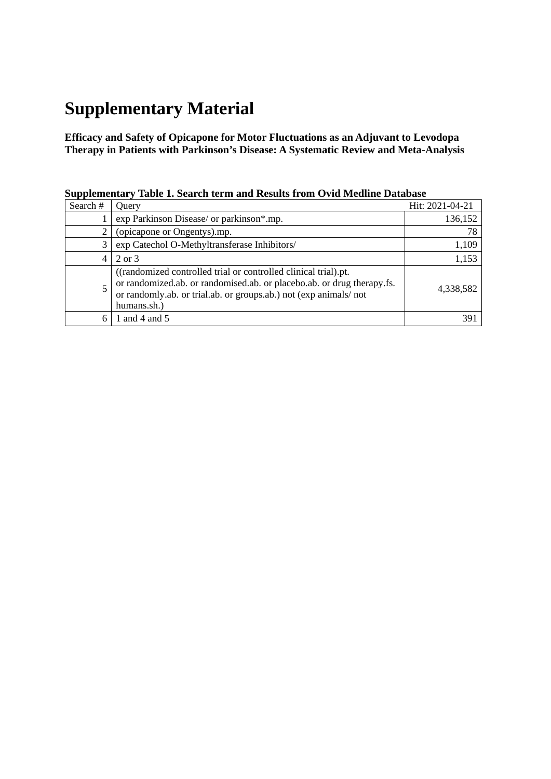## **Supplementary Material**

## **Efficacy and Safety of Opicapone for Motor Fluctuations as an Adjuvant to Levodopa Therapy in Patients with Parkinson's Disease: A Systematic Review and Meta-Analysis**

| Search # | Ouery                                                                                                                                                                                                                         | Hit: 2021-04-21 |
|----------|-------------------------------------------------------------------------------------------------------------------------------------------------------------------------------------------------------------------------------|-----------------|
|          | exp Parkinson Disease/ or parkinson*.mp.                                                                                                                                                                                      | 136,152         |
|          | (opicapone or Ongentys).mp.                                                                                                                                                                                                   | 78              |
|          | exp Catechol O-Methyltransferase Inhibitors/                                                                                                                                                                                  | 1,109           |
| 4        | 2 or 3                                                                                                                                                                                                                        | 1,153           |
|          | ((randomized controlled trial or controlled clinical trial).pt.<br>or randomized.ab. or randomised.ab. or placebo.ab. or drug therapy.fs.<br>or randomly.ab. or trial.ab. or groups.ab.) not (exp animals/ not<br>humans.sh.) | 4,338,582       |
|          | 1 and 4 and 5                                                                                                                                                                                                                 | 39              |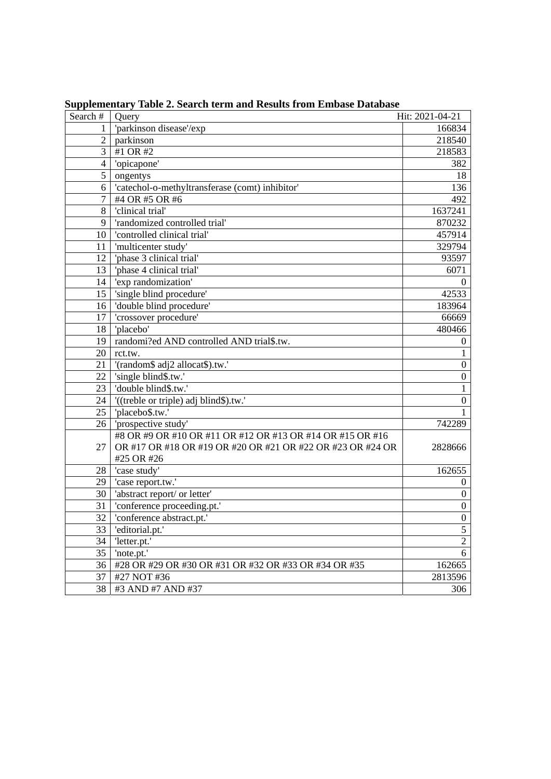| Search #        | Query                                                      | Hit: 2021-04-21  |
|-----------------|------------------------------------------------------------|------------------|
| 1               | 'parkinson disease'/exp                                    | 166834           |
| $\overline{2}$  | parkinson                                                  | 218540           |
| 3               | #1 OR #2                                                   | 218583           |
| 4               | 'opicapone'                                                | 382              |
| 5               | ongentys                                                   | 18               |
| 6               | 'catechol-o-methyltransferase (comt) inhibitor'            | 136              |
| 7               | #4 OR #5 OR #6                                             | 492              |
| 8               | 'clinical trial'                                           | 1637241          |
| 9               | 'randomized controlled trial'                              | 870232           |
| 10              | 'controlled clinical trial'                                | 457914           |
| 11              | 'multicenter study'                                        | 329794           |
| 12              | 'phase 3 clinical trial'                                   | 93597            |
| 13              | 'phase 4 clinical trial'                                   | 6071             |
| 14              | 'exp randomization'                                        | $\Omega$         |
| 15              | 'single blind procedure'                                   | 42533            |
| 16              | 'double blind procedure'                                   | 183964           |
| 17              | 'crossover procedure'                                      | 66669            |
| 18              | 'placebo'                                                  | 480466           |
| 19              | randomi?ed AND controlled AND trial\$.tw.                  | $\theta$         |
| 20              | rct.tw.                                                    | 1                |
| 21              | '(random\$ adj2 allocat\$).tw.'                            | $\boldsymbol{0}$ |
| 22              | 'single blind\$.tw.'                                       | $\overline{0}$   |
| 23              | 'double blind\$.tw.'                                       | 1                |
| 24              | '((treble or triple) adj blind\$).tw.'                     | $\boldsymbol{0}$ |
| 25              | 'placebo\$.tw.'                                            |                  |
| 26              | 'prospective study'                                        | 742289           |
|                 | #8 OR #9 OR #10 OR #11 OR #12 OR #13 OR #14 OR #15 OR #16  |                  |
| 27              | OR #17 OR #18 OR #19 OR #20 OR #21 OR #22 OR #23 OR #24 OR | 2828666          |
|                 | #25 OR #26                                                 |                  |
| 28              | 'case study'                                               | 162655           |
| 29              | 'case report.tw.'                                          | $\Omega$         |
| 30              | 'abstract report/ or letter'                               | $\overline{0}$   |
| 31              | 'conference proceeding.pt.'                                | $\boldsymbol{0}$ |
| 32              | 'conference abstract.pt.'                                  | $\mathbf{0}$     |
| 33              | 'editorial.pt.'                                            | $\overline{5}$   |
| 34              | 'letter.pt.'                                               | $\sqrt{2}$       |
| 35              | 'note.pt.'                                                 | 6                |
|                 | 36 #28 OR #29 OR #30 OR #31 OR #32 OR #33 OR #34 OR #35    | 162665           |
| 37              | #27 NOT #36                                                | 2813596          |
| $\overline{38}$ | #3 AND #7 AND #37                                          | 306              |

**Supplementary Table 2. Search term and Results from Embase Database**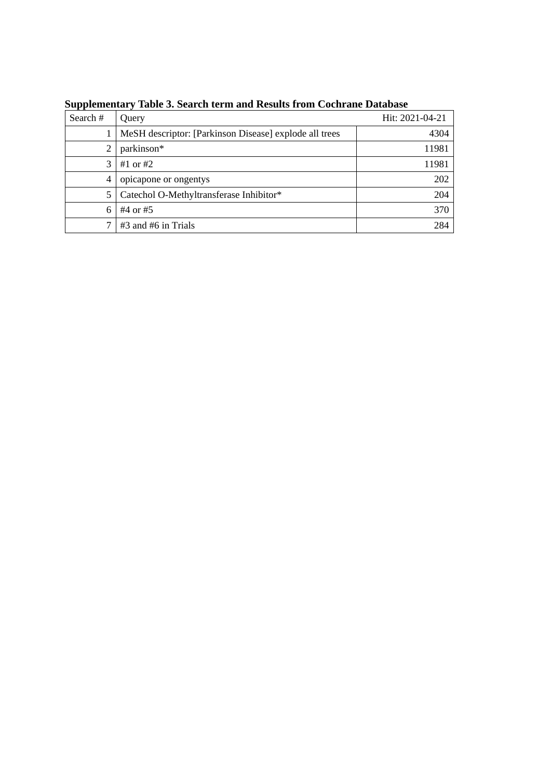| Search # | Query                                                  | Hit: 2021-04-21 |
|----------|--------------------------------------------------------|-----------------|
|          | MeSH descriptor: [Parkinson Disease] explode all trees | 4304            |
| 2        | parkinson*                                             | 11981           |
| 3        | #1 or #2                                               | 11981           |
| 4        | opicapone or ongentys                                  | 202             |
| 5        | Catechol O-Methyltransferase Inhibitor*                | 204             |
| 6        | #4 or #5                                               | 370             |
| π        | $#3$ and $#6$ in Trials                                | 284             |

**Supplementary Table 3. Search term and Results from Cochrane Database**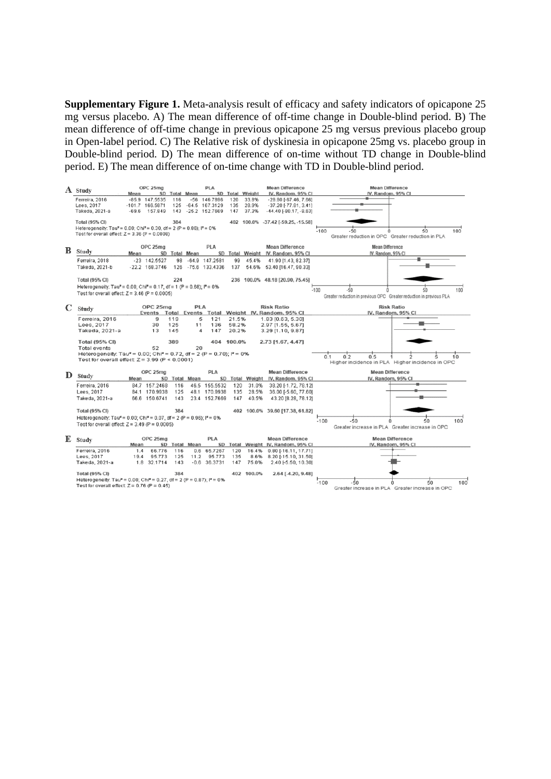**Supplementary Figure 1.** Meta-analysis result of efficacy and safety indicators of opicapone 25 mg versus placebo. A) The mean difference of off-time change in Double-blind period. B) The mean difference of off-time change in previous opicapone 25 mg versus previous placebo group in Open-label period. C) The Relative risk of dyskinesia in opicapone 25mg vs. placebo group in Double-blind period. D) The mean difference of on-time without TD change in Double-blind period. E) The mean difference of on-time change with TD in Double-blind period.

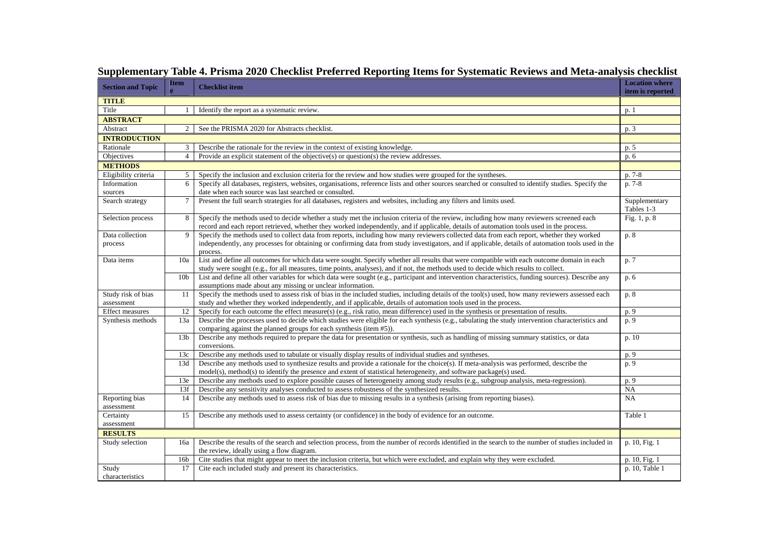| <b>Section and Topic</b> | <b>Item</b>     | <b>Checklist item</b>                                                                                                                                                                                                                                                               | <b>Location where</b><br>item is reported |
|--------------------------|-----------------|-------------------------------------------------------------------------------------------------------------------------------------------------------------------------------------------------------------------------------------------------------------------------------------|-------------------------------------------|
| <b>TITLE</b>             |                 |                                                                                                                                                                                                                                                                                     |                                           |
| Title                    |                 | Identify the report as a systematic review.                                                                                                                                                                                                                                         | p. 1                                      |
| <b>ABSTRACT</b>          |                 |                                                                                                                                                                                                                                                                                     |                                           |
| Abstract                 | 2               | See the PRISMA 2020 for Abstracts checklist.                                                                                                                                                                                                                                        | p. 3                                      |
| <b>INTRODUCTION</b>      |                 |                                                                                                                                                                                                                                                                                     |                                           |
| Rationale                | 3               | Describe the rationale for the review in the context of existing knowledge.                                                                                                                                                                                                         | p. 5                                      |
| Objectives               | $\overline{4}$  | Provide an explicit statement of the objective(s) or question(s) the review addresses.                                                                                                                                                                                              | p. 6                                      |
| <b>METHODS</b>           |                 |                                                                                                                                                                                                                                                                                     |                                           |
| Eligibility criteria     | 5               | Specify the inclusion and exclusion criteria for the review and how studies were grouped for the syntheses.                                                                                                                                                                         | p. 7-8                                    |
| Information              | 6               | Specify all databases, registers, websites, organisations, reference lists and other sources searched or consulted to identify studies. Specify the                                                                                                                                 | p. 7-8                                    |
| sources                  |                 | date when each source was last searched or consulted.                                                                                                                                                                                                                               |                                           |
| Search strategy          | $\tau$          | Present the full search strategies for all databases, registers and websites, including any filters and limits used.                                                                                                                                                                | Supplementary<br>Tables 1-3               |
| Selection process        | 8               | Specify the methods used to decide whether a study met the inclusion criteria of the review, including how many reviewers screened each<br>record and each report retrieved, whether they worked independently, and if applicable, details of automation tools used in the process. | Fig. $1, p. 8$                            |
| Data collection          | $\overline{9}$  | Specify the methods used to collect data from reports, including how many reviewers collected data from each report, whether they worked                                                                                                                                            | p. 8                                      |
| process                  |                 | independently, any processes for obtaining or confirming data from study investigators, and if applicable, details of automation tools used in the                                                                                                                                  |                                           |
|                          |                 | process.                                                                                                                                                                                                                                                                            |                                           |
| Data items               | 10a             | List and define all outcomes for which data were sought. Specify whether all results that were compatible with each outcome domain in each<br>study were sought (e.g., for all measures, time points, analyses), and if not, the methods used to decide which results to collect.   | p. 7                                      |
|                          | 10 <sub>b</sub> | List and define all other variables for which data were sought (e.g., participant and intervention characteristics, funding sources). Describe any                                                                                                                                  | p. 6                                      |
|                          |                 | assumptions made about any missing or unclear information.                                                                                                                                                                                                                          |                                           |
| Study risk of bias       | 11              | Specify the methods used to assess risk of bias in the included studies, including details of the tool(s) used, how many reviewers assessed each                                                                                                                                    | p. 8                                      |
| assessment               |                 | study and whether they worked independently, and if applicable, details of automation tools used in the process.                                                                                                                                                                    |                                           |
| <b>Effect measures</b>   | 12              | Specify for each outcome the effect measure(s) (e.g., risk ratio, mean difference) used in the synthesis or presentation of results.                                                                                                                                                | p. 9                                      |
| Synthesis methods        | 13a             | Describe the processes used to decide which studies were eligible for each synthesis (e.g., tabulating the study intervention characteristics and                                                                                                                                   | p. 9                                      |
|                          |                 | comparing against the planned groups for each synthesis (item #5)).                                                                                                                                                                                                                 |                                           |
|                          | 13 <sub>b</sub> | Describe any methods required to prepare the data for presentation or synthesis, such as handling of missing summary statistics, or data<br>conversions.                                                                                                                            | p.10                                      |
|                          | 13c             | Describe any methods used to tabulate or visually display results of individual studies and syntheses.                                                                                                                                                                              | p. 9                                      |
|                          | 13d             | Describe any methods used to synthesize results and provide a rationale for the choice(s). If meta-analysis was performed, describe the<br>model(s), method(s) to identify the presence and extent of statistical heterogeneity, and software package(s) used.                      | p. 9                                      |
|                          | 13e             | Describe any methods used to explore possible causes of heterogeneity among study results (e.g., subgroup analysis, meta-regression).                                                                                                                                               | p. 9                                      |
|                          | 13f             | Describe any sensitivity analyses conducted to assess robustness of the synthesized results.                                                                                                                                                                                        | <b>NA</b>                                 |
| Reporting bias           | 14              | Describe any methods used to assess risk of bias due to missing results in a synthesis (arising from reporting biases).                                                                                                                                                             | <b>NA</b>                                 |
| assessment               |                 |                                                                                                                                                                                                                                                                                     |                                           |
| Certainty                | 15              | Describe any methods used to assess certainty (or confidence) in the body of evidence for an outcome.                                                                                                                                                                               | Table 1                                   |
| assessment               |                 |                                                                                                                                                                                                                                                                                     |                                           |
| <b>RESULTS</b>           |                 |                                                                                                                                                                                                                                                                                     |                                           |
| Study selection          | 16a             | Describe the results of the search and selection process, from the number of records identified in the search to the number of studies included in                                                                                                                                  | p. 10, Fig. 1                             |
|                          |                 | the review, ideally using a flow diagram.                                                                                                                                                                                                                                           |                                           |
|                          | 16 <sub>b</sub> | Cite studies that might appear to meet the inclusion criteria, but which were excluded, and explain why they were excluded.                                                                                                                                                         | p. 10, Fig. 1                             |
| Study<br>characteristics | 17              | Cite each included study and present its characteristics.                                                                                                                                                                                                                           | p. 10, Table 1                            |
|                          |                 |                                                                                                                                                                                                                                                                                     |                                           |

|  |  |  |  |  |  | Supplementary Table 4. Prisma 2020 Checklist Preferred Reporting Items for Systematic Reviews and Meta-analysis checklist |  |
|--|--|--|--|--|--|---------------------------------------------------------------------------------------------------------------------------|--|
|  |  |  |  |  |  |                                                                                                                           |  |